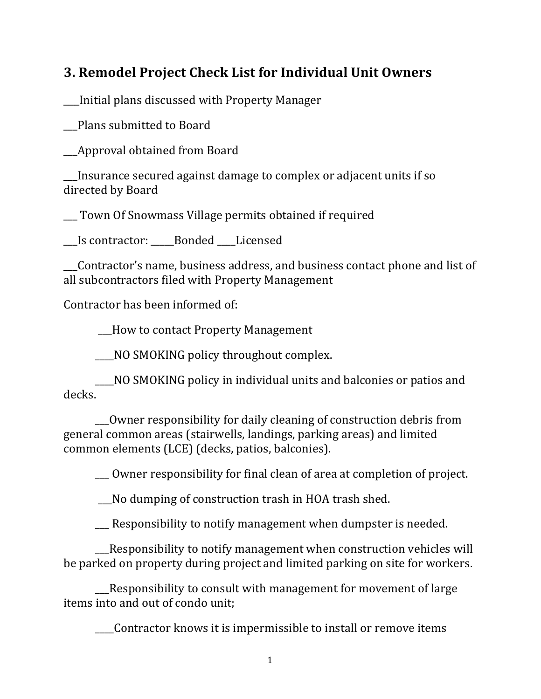## **3. Remodel Project Check List for Individual Unit Owners**

\_\_\_Initial plans discussed with Property Manager 

\_\_\_Plans submitted to Board 

**EXAPPROVAL OPTAINAL SETTLE POINT CONCLUTE APPROX** 

Insurance secured against damage to complex or adjacent units if so directed by Board

\_\_\_ Town Of Snowmass Village permits obtained if required 

\_\_\_Is contractor: \_\_\_\_\_Bonded \_\_\_\_Licensed 

\_\_\_Contractor's name, business address, and business contact phone and list of all subcontractors filed with Property Management

Contractor has been informed of:

\_\_\_How to contact Property Management

NO SMOKING policy throughout complex.

\_\_\_\_NO SMOKING policy in individual units and balconies or patios and decks. 

\_\_Owner responsibility for daily cleaning of construction debris from general common areas (stairwells, landings, parking areas) and limited common elements (LCE) (decks, patios, balconies).

\_\_\_ Owner responsibility for final clean of area at completion of project.

 \_\_\_No dumping of construction trash in HOA trash shed. 

 $\Box$  Responsibility to notify management when dumpster is needed.

**EXECT** Responsibility to notify management when construction vehicles will be parked on property during project and limited parking on site for workers.

**EXECONSIMILY EXECONSIMI** with management for movement of large items into and out of condo unit;

Contractor knows it is impermissible to install or remove items